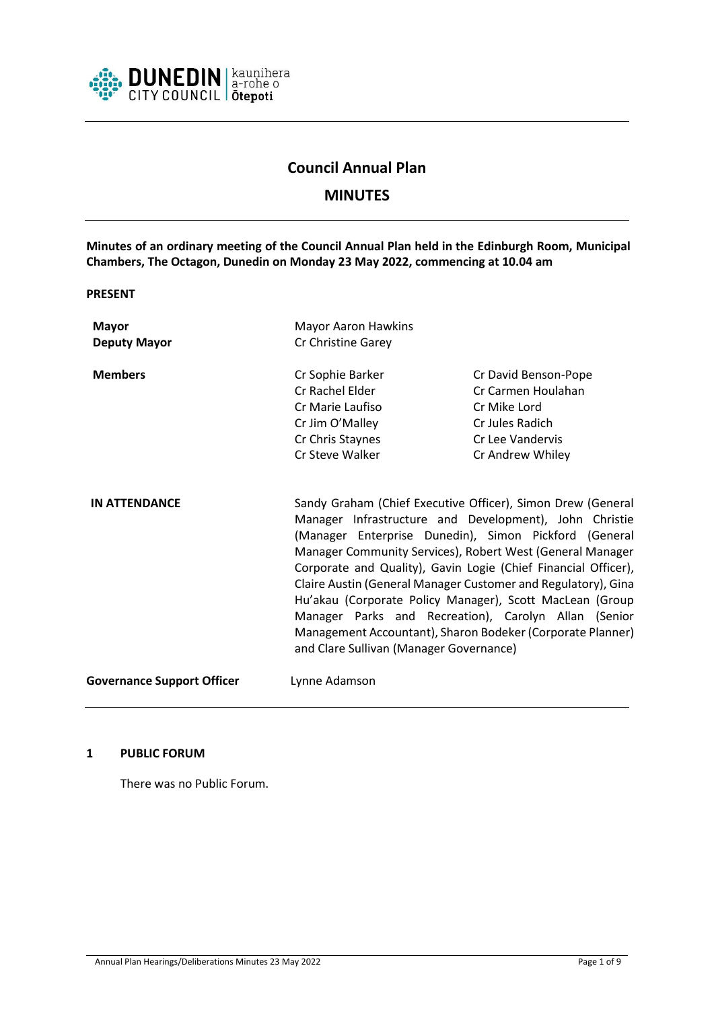

# **Council Annual Plan**

# **MINUTES**

**Minutes of an ordinary meeting of the Council Annual Plan held in the Edinburgh Room, Municipal Chambers, The Octagon, Dunedin on Monday 23 May 2022, commencing at 10.04 am**

**PRESENT**

**Mayor** Mayor Aaron Hawkins **Deputy Mayor** Cr Christine Garey **Members** Cr Sophie Barker Cr David Benson-Pope Cr Rachel Elder Cr Carmen Houlahan Cr Marie Laufiso Cr Mike Lord Cr Jim O'Malley Cr Jules Radich Cr Chris Staynes Cr Lee Vandervis Cr Steve Walker Cr Andrew Whiley **IN ATTENDANCE** Sandy Graham (Chief Executive Officer), Simon Drew (General Manager Infrastructure and Development), John Christie (Manager Enterprise Dunedin), Simon Pickford (General Manager Community Services), Robert West (General Manager Corporate and Quality), Gavin Logie (Chief Financial Officer), Claire Austin (General Manager Customer and Regulatory), Gina Hu'akau (Corporate Policy Manager), Scott MacLean (Group Manager Parks and Recreation), Carolyn Allan (Senior Management Accountant), Sharon Bodeker (Corporate Planner) and Clare Sullivan (Manager Governance) **Governance Support Officer** Lynne Adamson

## **1 PUBLIC FORUM**

There was no Public Forum.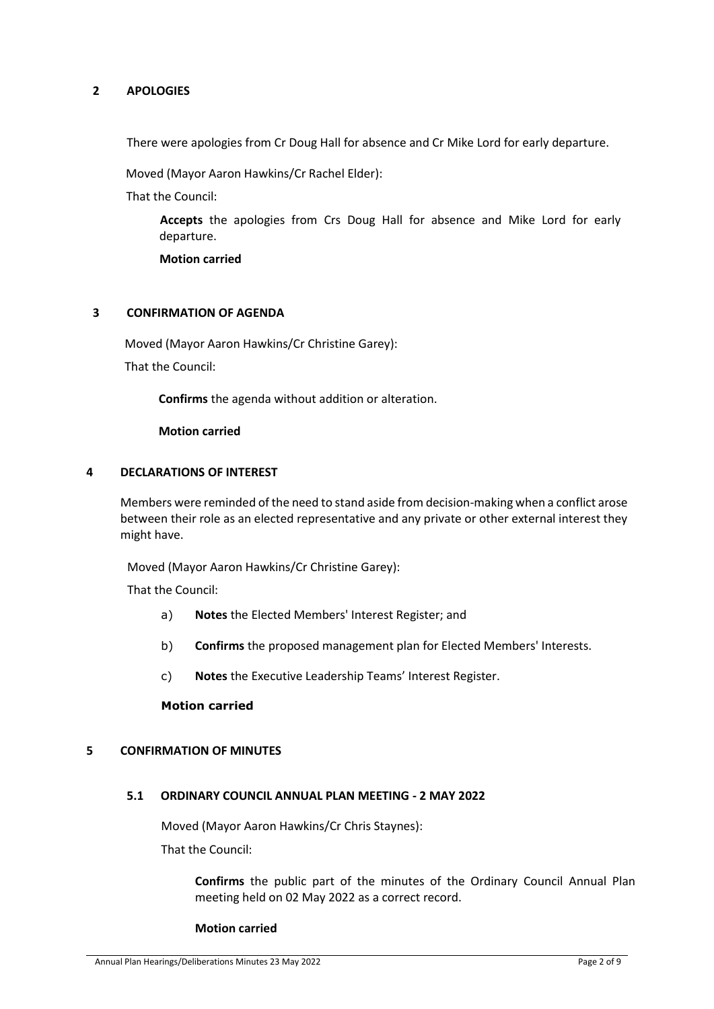# **2 APOLOGIES**

There were apologies from Cr Doug Hall for absence and Cr Mike Lord for early departure.

Moved (Mayor Aaron Hawkins/Cr Rachel Elder):

That the Council:

**Accepts** the apologies from Crs Doug Hall for absence and Mike Lord for early departure.

**Motion carried** 

### **3 CONFIRMATION OF AGENDA**

Moved (Mayor Aaron Hawkins/Cr Christine Garey):

That the Council:

**Confirms** the agenda without addition or alteration.

**Motion carried**

### **4 DECLARATIONS OF INTEREST**

Members were reminded of the need to stand aside from decision-making when a conflict arose between their role as an elected representative and any private or other external interest they might have.

Moved (Mayor Aaron Hawkins/Cr Christine Garey):

That the Council:

- a) **Notes** the Elected Members' Interest Register; and
- b) **Confirms** the proposed management plan for Elected Members' Interests.
- c) **Notes** the Executive Leadership Teams' Interest Register.

### **Motion carried**

## **5 CONFIRMATION OF MINUTES**

### **5.1 ORDINARY COUNCIL ANNUAL PLAN MEETING - 2 MAY 2022**

Moved (Mayor Aaron Hawkins/Cr Chris Staynes):

That the Council:

**Confirms** the public part of the minutes of the Ordinary Council Annual Plan meeting held on 02 May 2022 as a correct record.

#### **Motion carried**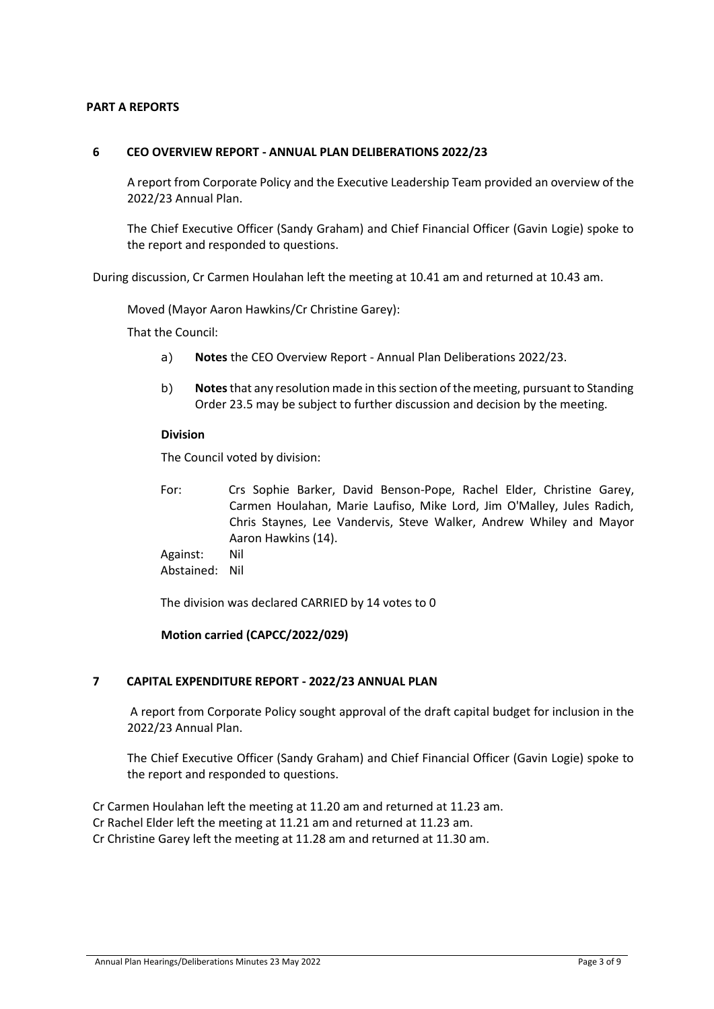# **PART A REPORTS**

### **6 CEO OVERVIEW REPORT - ANNUAL PLAN DELIBERATIONS 2022/23**

A report from Corporate Policy and the Executive Leadership Team provided an overview of the 2022/23 Annual Plan.

The Chief Executive Officer (Sandy Graham) and Chief Financial Officer (Gavin Logie) spoke to the report and responded to questions.

During discussion, Cr Carmen Houlahan left the meeting at 10.41 am and returned at 10.43 am.

Moved (Mayor Aaron Hawkins/Cr Christine Garey):

That the Council:

- a) **Notes** the CEO Overview Report Annual Plan Deliberations 2022/23.
- b) **Notes**that any resolution made in this section of the meeting, pursuant to Standing Order 23.5 may be subject to further discussion and decision by the meeting.

#### **Division**

The Council voted by division:

- For: Crs Sophie Barker, David Benson-Pope, Rachel Elder, Christine Garey, Carmen Houlahan, Marie Laufiso, Mike Lord, Jim O'Malley, Jules Radich, Chris Staynes, Lee Vandervis, Steve Walker, Andrew Whiley and Mayor Aaron Hawkins (14).
- Against: Nil Abstained: Nil

The division was declared CARRIED by 14 votes to 0

## **Motion carried (CAPCC/2022/029)**

## **7 CAPITAL EXPENDITURE REPORT - 2022/23 ANNUAL PLAN**

A report from Corporate Policy sought approval of the draft capital budget for inclusion in the 2022/23 Annual Plan.

The Chief Executive Officer (Sandy Graham) and Chief Financial Officer (Gavin Logie) spoke to the report and responded to questions.

Cr Carmen Houlahan left the meeting at 11.20 am and returned at 11.23 am. Cr Rachel Elder left the meeting at 11.21 am and returned at 11.23 am. Cr Christine Garey left the meeting at 11.28 am and returned at 11.30 am.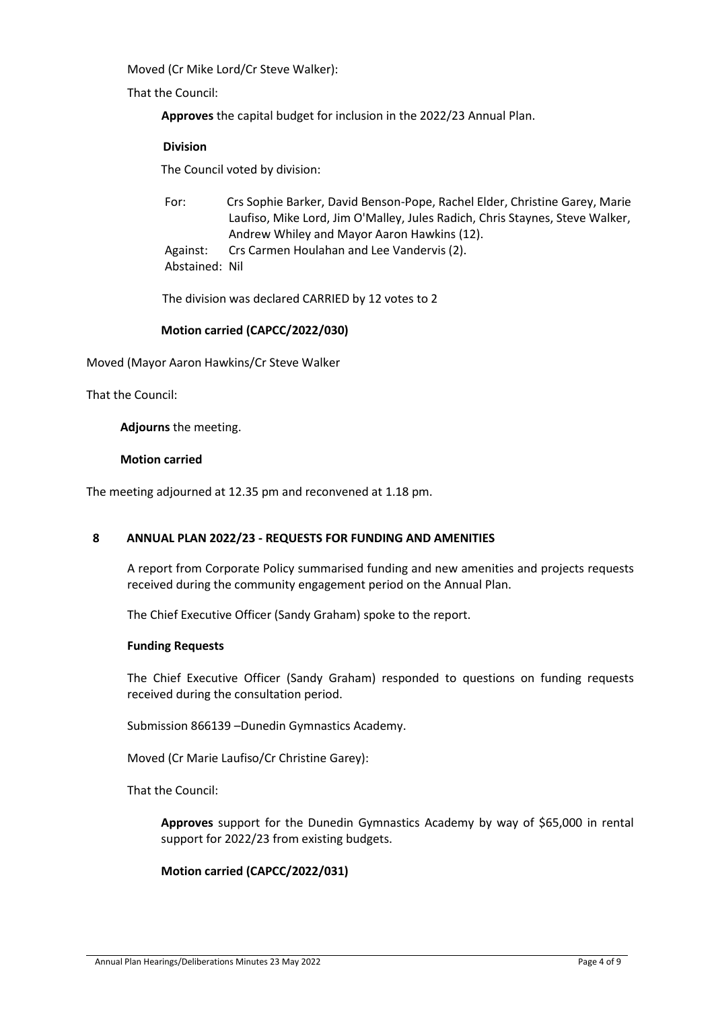Moved (Cr Mike Lord/Cr Steve Walker):

That the Council:

**Approves** the capital budget for inclusion in the 2022/23 Annual Plan.

# **Division**

The Council voted by division:

For: Crs Sophie Barker, David Benson-Pope, Rachel Elder, Christine Garey, Marie Laufiso, Mike Lord, Jim O'Malley, Jules Radich, Chris Staynes, Steve Walker, Andrew Whiley and Mayor Aaron Hawkins (12).

Against: Crs Carmen Houlahan and Lee Vandervis (2). Abstained: Nil

The division was declared CARRIED by 12 votes to 2

# **Motion carried (CAPCC/2022/030)**

Moved (Mayor Aaron Hawkins/Cr Steve Walker

That the Council:

**Adjourns** the meeting.

# **Motion carried**

The meeting adjourned at 12.35 pm and reconvened at 1.18 pm.

## **8 ANNUAL PLAN 2022/23 - REQUESTS FOR FUNDING AND AMENITIES**

A report from Corporate Policy summarised funding and new amenities and projects requests received during the community engagement period on the Annual Plan.

The Chief Executive Officer (Sandy Graham) spoke to the report.

## **Funding Requests**

The Chief Executive Officer (Sandy Graham) responded to questions on funding requests received during the consultation period.

Submission 866139 –Dunedin Gymnastics Academy.

Moved (Cr Marie Laufiso/Cr Christine Garey):

That the Council:

**Approves** support for the Dunedin Gymnastics Academy by way of \$65,000 in rental support for 2022/23 from existing budgets.

# **Motion carried (CAPCC/2022/031)**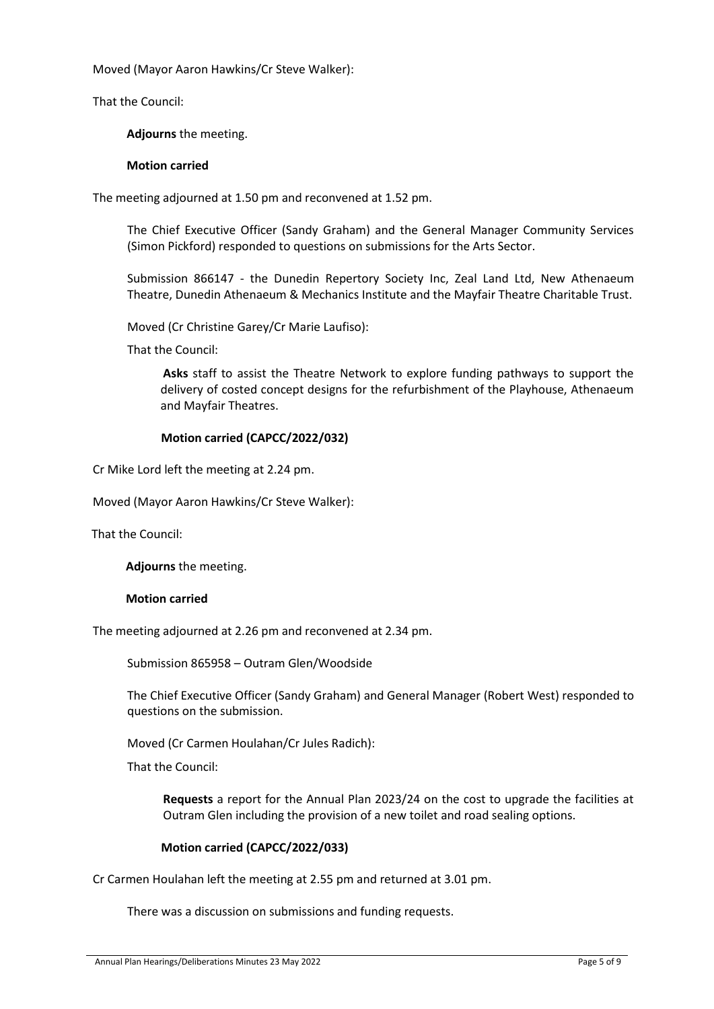Moved (Mayor Aaron Hawkins/Cr Steve Walker):

That the Council:

**Adjourns** the meeting.

### **Motion carried**

The meeting adjourned at 1.50 pm and reconvened at 1.52 pm.

The Chief Executive Officer (Sandy Graham) and the General Manager Community Services (Simon Pickford) responded to questions on submissions for the Arts Sector.

Submission 866147 - the Dunedin Repertory Society Inc, Zeal Land Ltd, New Athenaeum Theatre, Dunedin Athenaeum & Mechanics Institute and the Mayfair Theatre Charitable Trust.

Moved (Cr Christine Garey/Cr Marie Laufiso):

That the Council:

**Asks** staff to assist the Theatre Network to explore funding pathways to support the delivery of costed concept designs for the refurbishment of the Playhouse, Athenaeum and Mayfair Theatres.

## **Motion carried (CAPCC/2022/032)**

Cr Mike Lord left the meeting at 2.24 pm.

Moved (Mayor Aaron Hawkins/Cr Steve Walker):

That the Council:

**Adjourns** the meeting.

## **Motion carried**

The meeting adjourned at 2.26 pm and reconvened at 2.34 pm.

Submission 865958 – Outram Glen/Woodside

The Chief Executive Officer (Sandy Graham) and General Manager (Robert West) responded to questions on the submission.

Moved (Cr Carmen Houlahan/Cr Jules Radich):

That the Council:

**Requests** a report for the Annual Plan 2023/24 on the cost to upgrade the facilities at Outram Glen including the provision of a new toilet and road sealing options.

## **Motion carried (CAPCC/2022/033)**

Cr Carmen Houlahan left the meeting at 2.55 pm and returned at 3.01 pm.

There was a discussion on submissions and funding requests.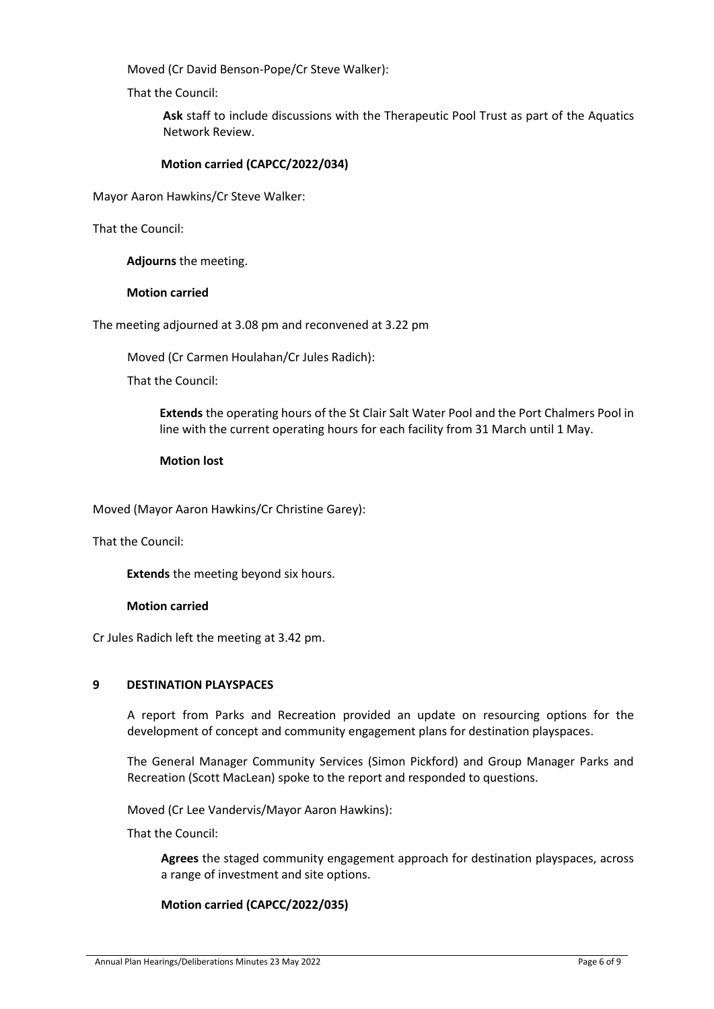Moved (Cr David Benson-Pope/Cr Steve Walker):

That the Council:

**Ask** staff to include discussions with the Therapeutic Pool Trust as part of the Aquatics Network Review.

# **Motion carried (CAPCC/2022/034)**

Mayor Aaron Hawkins/Cr Steve Walker:

That the Council:

**Adjourns** the meeting.

### **Motion carried**

The meeting adjourned at 3.08 pm and reconvened at 3.22 pm

Moved (Cr Carmen Houlahan/Cr Jules Radich):

That the Council:

**Extends** the operating hours of the St Clair Salt Water Pool and the Port Chalmers Pool in line with the current operating hours for each facility from 31 March until 1 May.

### **Motion lost**

Moved (Mayor Aaron Hawkins/Cr Christine Garey):

That the Council:

**Extends** the meeting beyond six hours.

## **Motion carried**

Cr Jules Radich left the meeting at 3.42 pm.

## **9 DESTINATION PLAYSPACES**

A report from Parks and Recreation provided an update on resourcing options for the development of concept and community engagement plans for destination playspaces.

The General Manager Community Services (Simon Pickford) and Group Manager Parks and Recreation (Scott MacLean) spoke to the report and responded to questions.

Moved (Cr Lee Vandervis/Mayor Aaron Hawkins):

That the Council:

**Agrees** the staged community engagement approach for destination playspaces, across a range of investment and site options.

## **Motion carried (CAPCC/2022/035)**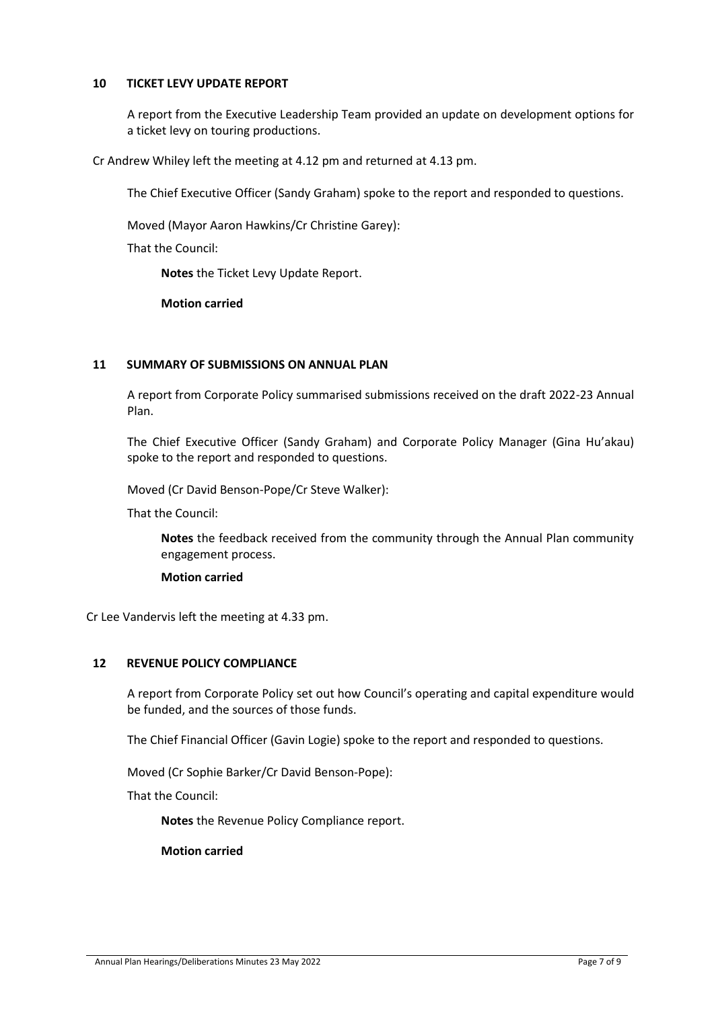# **10 TICKET LEVY UPDATE REPORT**

A report from the Executive Leadership Team provided an update on development options for a ticket levy on touring productions.

Cr Andrew Whiley left the meeting at 4.12 pm and returned at 4.13 pm.

The Chief Executive Officer (Sandy Graham) spoke to the report and responded to questions.

Moved (Mayor Aaron Hawkins/Cr Christine Garey):

That the Council:

**Notes** the Ticket Levy Update Report.

**Motion carried**

## **11 SUMMARY OF SUBMISSIONS ON ANNUAL PLAN**

A report from Corporate Policy summarised submissions received on the draft 2022-23 Annual Plan.

The Chief Executive Officer (Sandy Graham) and Corporate Policy Manager (Gina Hu'akau) spoke to the report and responded to questions.

Moved (Cr David Benson-Pope/Cr Steve Walker):

That the Council:

**Notes** the feedback received from the community through the Annual Plan community engagement process.

### **Motion carried**

Cr Lee Vandervis left the meeting at 4.33 pm.

### **12 REVENUE POLICY COMPLIANCE**

A report from Corporate Policy set out how Council's operating and capital expenditure would be funded, and the sources of those funds.

The Chief Financial Officer (Gavin Logie) spoke to the report and responded to questions.

Moved (Cr Sophie Barker/Cr David Benson-Pope):

That the Council:

**Notes** the Revenue Policy Compliance report.

**Motion carried**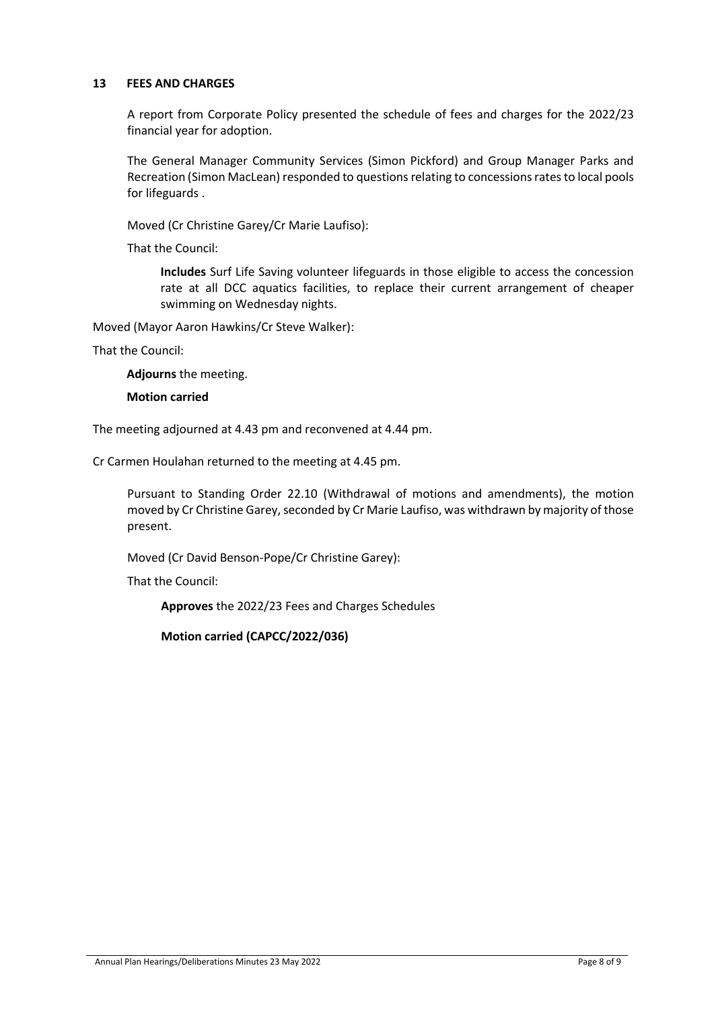# **13 FEES AND CHARGES**

A report from Corporate Policy presented the schedule of fees and charges for the 2022/23 financial year for adoption.

The General Manager Community Services (Simon Pickford) and Group Manager Parks and Recreation (Simon MacLean) responded to questions relating to concessions rates to local pools for lifeguards .

Moved (Cr Christine Garey/Cr Marie Laufiso):

That the Council:

**Includes** Surf Life Saving volunteer lifeguards in those eligible to access the concession rate at all DCC aquatics facilities, to replace their current arrangement of cheaper swimming on Wednesday nights.

Moved (Mayor Aaron Hawkins/Cr Steve Walker):

That the Council:

**Adjourns** the meeting.

**Motion carried**

The meeting adjourned at 4.43 pm and reconvened at 4.44 pm.

Cr Carmen Houlahan returned to the meeting at 4.45 pm.

Pursuant to Standing Order 22.10 (Withdrawal of motions and amendments), the motion moved by Cr Christine Garey, seconded by Cr Marie Laufiso, was withdrawn by majority of those present.

Moved (Cr David Benson-Pope/Cr Christine Garey):

That the Council:

**Approves** the 2022/23 Fees and Charges Schedules

**Motion carried (CAPCC/2022/036)**